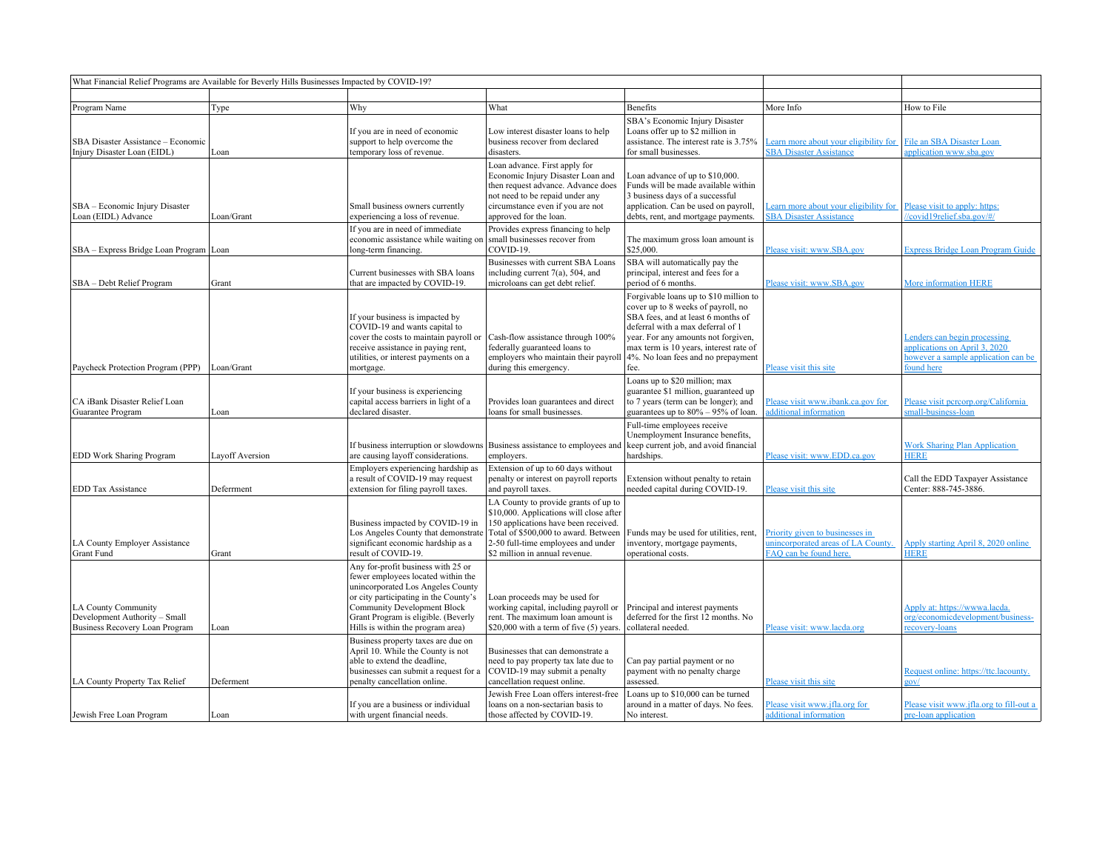|                                                                                        | What Financial Relief Programs are Available for Beverly Hills Businesses Impacted by COVID-19? |                                                                                                                                                                                                                                                                          |                                                                                                                                                                                                                                                 |                                                                                                                                                                                                                                                                                        |                                                                                                 |                                                                                                                    |
|----------------------------------------------------------------------------------------|-------------------------------------------------------------------------------------------------|--------------------------------------------------------------------------------------------------------------------------------------------------------------------------------------------------------------------------------------------------------------------------|-------------------------------------------------------------------------------------------------------------------------------------------------------------------------------------------------------------------------------------------------|----------------------------------------------------------------------------------------------------------------------------------------------------------------------------------------------------------------------------------------------------------------------------------------|-------------------------------------------------------------------------------------------------|--------------------------------------------------------------------------------------------------------------------|
|                                                                                        |                                                                                                 |                                                                                                                                                                                                                                                                          |                                                                                                                                                                                                                                                 |                                                                                                                                                                                                                                                                                        |                                                                                                 |                                                                                                                    |
| Program Name                                                                           | Type                                                                                            | Why                                                                                                                                                                                                                                                                      | What                                                                                                                                                                                                                                            | Benefits                                                                                                                                                                                                                                                                               | More Info                                                                                       | How to File                                                                                                        |
| SBA Disaster Assistance - Economic<br>Injury Disaster Loan (EIDL)                      | Loan                                                                                            | If you are in need of economic<br>support to help overcome the<br>temporary loss of revenue.                                                                                                                                                                             | Low interest disaster loans to help<br>business recover from declared<br>disasters.                                                                                                                                                             | SBA's Economic Injury Disaster<br>Loans offer up to \$2 million in<br>assistance. The interest rate is 3.75%<br>for small businesses.                                                                                                                                                  | Learn more about your eligibility for<br><b>SBA Disaster Assistance</b>                         | File an SBA Disaster Loan<br>pplication www.sba.gov                                                                |
| SBA - Economic Injury Disaster<br>Loan (EIDL) Advance                                  | Loan/Grant                                                                                      | Small business owners currently<br>experiencing a loss of revenue.<br>If you are in need of immediate                                                                                                                                                                    | Loan advance. First apply for<br>Economic Injury Disaster Loan and<br>then request advance. Advance does<br>not need to be repaid under any<br>circumstance even if you are not<br>approved for the loan.<br>Provides express financing to help | Loan advance of up to \$10,000.<br>Funds will be made available within<br>3 business days of a successful<br>application. Can be used on payroll,<br>debts, rent, and mortgage payments.                                                                                               | earn more about your eligibility for<br><b>SBA Disaster Assistance</b>                          | Please visit to apply: https:<br>/covid19relief.sba.gov/#/                                                         |
| SBA - Express Bridge Loan Program   Loan                                               |                                                                                                 | economic assistance while waiting on<br>long-term financing.                                                                                                                                                                                                             | small businesses recover from<br>COVID-19.                                                                                                                                                                                                      | The maximum gross loan amount is<br>\$25,000.                                                                                                                                                                                                                                          | Please visit: www.SBA.gov                                                                       | <b>Express Bridge Loan Program Guide</b>                                                                           |
| SBA - Debt Relief Program                                                              | Grant                                                                                           | Current businesses with SBA loans<br>that are impacted by COVID-19.                                                                                                                                                                                                      | Businesses with current SBA Loans<br>including current 7(a), 504, and<br>microloans can get debt relief.                                                                                                                                        | SBA will automatically pay the<br>principal, interest and fees for a<br>period of 6 months.                                                                                                                                                                                            | Please visit: www.SBA.gov                                                                       | <b>More information HERE</b>                                                                                       |
| Paycheck Protection Program (PPP)                                                      | Loan/Grant                                                                                      | If your business is impacted by<br>COVID-19 and wants capital to<br>cover the costs to maintain payroll or<br>receive assistance in paying rent,<br>utilities, or interest payments on a<br>mortgage.                                                                    | Cash-flow assistance through 100%<br>federally guaranteed loans to<br>employers who maintain their payroll<br>during this emergency.                                                                                                            | Forgivable loans up to \$10 million to<br>cover up to 8 weeks of payroll, no<br>SBA fees, and at least 6 months of<br>deferral with a max deferral of 1<br>year. For any amounts not forgiven,<br>max term is 10 years, interest rate of<br>4%. No loan fees and no prepayment<br>fee. | Please visit this site                                                                          | Lenders can begin processing<br>applications on April 3, 2020<br>however a sample application can be<br>found here |
| CA iBank Disaster Relief Loan<br>Guarantee Program                                     | Loan                                                                                            | If your business is experiencing<br>capital access barriers in light of a<br>declared disaster.                                                                                                                                                                          | Provides loan guarantees and direct<br>loans for small businesses.                                                                                                                                                                              | Loans up to \$20 million; max<br>guarantee \$1 million, guaranteed up<br>to 7 years (term can be longer); and<br>guarantees up to $80\% - 95\%$ of loan.                                                                                                                               | Please visit www.ibank.ca.gov for<br>dditional information                                      | Please visit percorp.org/California<br>small-business-loan                                                         |
| EDD Work Sharing Program                                                               | Layoff Aversion                                                                                 | If business interruption or slowdowns<br>are causing layoff considerations.                                                                                                                                                                                              | Business assistance to employees and<br>employers.                                                                                                                                                                                              | Full-time employees receive<br>Unemployment Insurance benefits,<br>keep current job, and avoid financial<br>hardships.                                                                                                                                                                 | Please visit: www.EDD.ca.gov                                                                    | <b>Work Sharing Plan Application</b><br><b>HERE</b>                                                                |
| <b>EDD Tax Assistance</b>                                                              | Deferrment                                                                                      | Employers experiencing hardship as<br>a result of COVID-19 may request<br>extension for filing payroll taxes.                                                                                                                                                            | Extension of up to 60 days without<br>penalty or interest on payroll reports<br>and payroll taxes.                                                                                                                                              | Extension without penalty to retain<br>needed capital during COVID-19.                                                                                                                                                                                                                 | Please visit this site                                                                          | Call the EDD Taxpayer Assistance<br>Center: 888-745-3886.                                                          |
| LA County Employer Assistance<br>Grant Fund                                            | Grant                                                                                           | Business impacted by COVID-19 in<br>Los Angeles County that demonstrate<br>significant economic hardship as a<br>result of COVID-19.                                                                                                                                     | LA County to provide grants of up to<br>\$10,000. Applications will close after<br>150 applications have been received.<br>Total of \$500,000 to award. Between<br>2-50 full-time employees and under<br>\$2 million in annual revenue.         | Funds may be used for utilities, rent,<br>inventory, mortgage payments,<br>operational costs.                                                                                                                                                                                          | Priority given to businesses in<br>unincorporated areas of LA County.<br>FAQ can be found here. | Apply starting April 8, 2020 online<br><b>HERE</b>                                                                 |
| LA County Community<br>Development Authority - Small<br>Business Recovery Loan Program | Loan                                                                                            | Any for-profit business with 25 or<br>fewer employees located within the<br>unincorporated Los Angeles County<br>or city participating in the County's<br><b>Community Development Block</b><br>Grant Program is eligible. (Beverly<br>Hills is within the program area) | Loan proceeds may be used for<br>working capital, including payroll or<br>rent. The maximum loan amount is<br>\$20,000 with a term of five (5) years.                                                                                           | Principal and interest payments<br>deferred for the first 12 months. No<br>collateral needed.                                                                                                                                                                                          | Please visit: www.lacda.org                                                                     | Apply at: https://wwwa.lacda.<br>org/economicdevelopment/business-<br>recovery-loans                               |
| LA County Property Tax Relief                                                          | Deferment                                                                                       | Business property taxes are due on<br>April 10. While the County is not<br>able to extend the deadline,<br>businesses can submit a request for a<br>penalty cancellation online.                                                                                         | Businesses that can demonstrate a<br>need to pay property tax late due to<br>COVID-19 may submit a penalty<br>cancellation request online.                                                                                                      | Can pay partial payment or no<br>payment with no penalty charge<br>assessed.                                                                                                                                                                                                           | Please visit this site                                                                          | Request online: https://ttc.lacounty.<br>gov/                                                                      |
| Jewish Free Loan Program                                                               | Loan                                                                                            | If you are a business or individual<br>with urgent financial needs.                                                                                                                                                                                                      | Jewish Free Loan offers interest-free<br>loans on a non-sectarian basis to<br>those affected by COVID-19.                                                                                                                                       | Loans up to \$10,000 can be turned<br>around in a matter of days. No fees.<br>No interest.                                                                                                                                                                                             | Please visit www.jfla.org for<br>additional information                                         | Please visit www.jfla.org to fill-out a<br>pre-loan application                                                    |